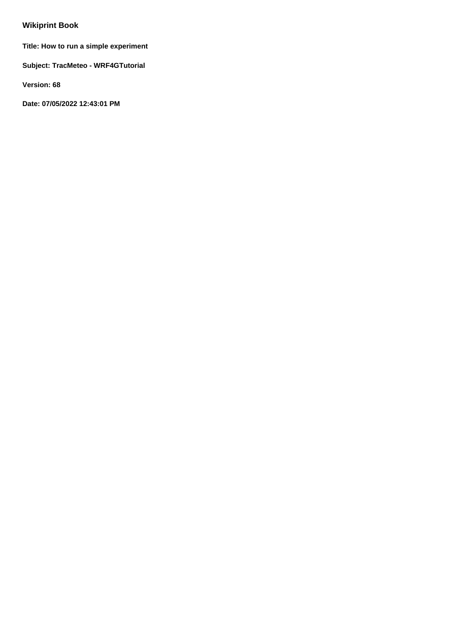# **Wikiprint Book**

**Title: How to run a simple experiment**

**Subject: TracMeteo - WRF4GTutorial**

**Version: 68**

**Date: 07/05/2022 12:43:01 PM**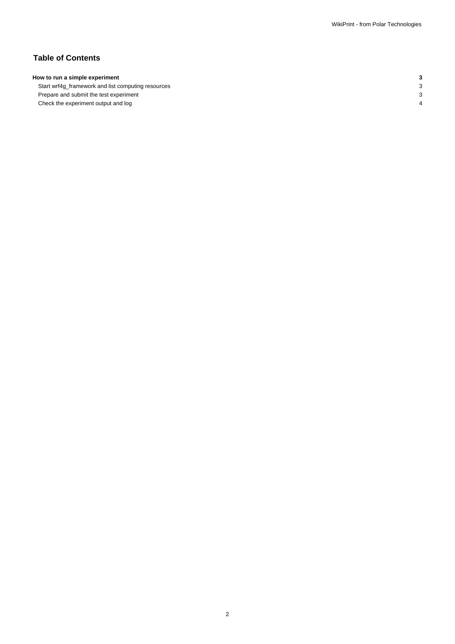## **Table of Contents**

### **How to run a simple experiment 3**

Start wrf4g\_framework and list computing resources 3 Prepare and submit the test experiment 3 Check the experiment output and log 4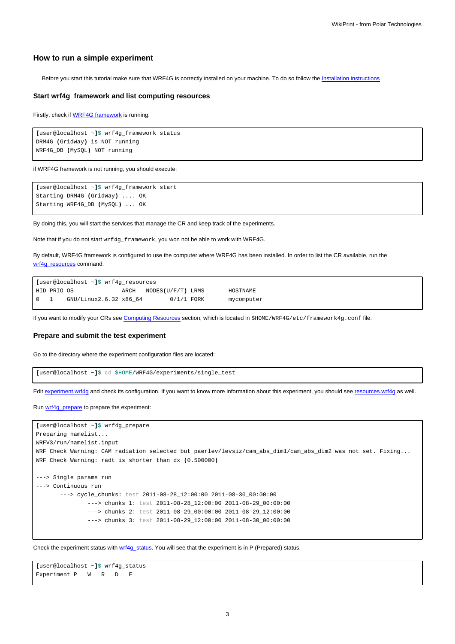#### **How to run a simple experiment**

Before you start this tutorial make sure that WRF4G is correctly installed on your machine. To do so follow the [Installation instructions](https://meteo.unican.es/trac/wiki/WRF4GInstall)

#### **Start wrf4g\_framework and list computing resources**

Firstly, check if [WRF4G framework](https://meteo.unican.es/trac/wiki/WRF4GFrameworkConfiguration) is running:

```
[user@localhost ~]$ wrf4g_framework status
DRM4G (GridWay) is NOT running
WRF4G_DB (MySQL) NOT running
```
if WRF4G framework is not running, you should execute:

```
[user@localhost ~]$ wrf4g_framework start
Starting DRM4G (GridWay) .... OK
Starting WRF4G_DB (MySQL) ... OK
```
By doing this, you will start the services that manage the CR and keep track of the experiments.

Note that if you do not start wrf4g\_framework, you won not be able to work with WRF4G.

By default, WRF4G framework is configured to use the computer where WRF4G has been installed. In order to list the CR available, run the [wrf4g\\_resources](https://meteo.unican.es/trac/wiki/WRF4GCommandLineTools#wrf4g_resources) command:

```
[user@localhost ~]$ wrf4g_resources
HID PRIO OS ARCH NODES(U/F/T) LRMS HOSTNAME
0 1 GNU/Linux2.6.32 x86_64 0/1/1 FORK mycomputer
```
If you want to modify your CRs see [Computing Resources](https://meteo.unican.es/trac/wiki/WRF4Gframework4g_conf#ComputingResources) section, which is located in \$HOME/WRF4G/etc/framework4g.conf file.

#### **Prepare and submit the test experiment**

Go to the directory where the experiment configuration files are located:

```
[user@localhost ~]$ cd $HOME/WRF4G/experiments/single_test
```
Edit [experiment.wrf4g](https://meteo.unican.es/trac/wiki/WRF4Gexperiment_wrf4g) and check its configuration. If you want to know more information about this experiment, you should see [resources.wrf4g](https://meteo.unican.es/trac/wiki/WRF4Gresources_wrf4g) as well.

Run [wrf4g\\_prepare](https://meteo.unican.es/trac/wiki/WRF4GCommandLineTools#wrf4g_prepare) to prepare the experiment:

```
[user@localhost ~]$ wrf4g_prepare
Preparing namelist...
WRFV3/run/namelist.input
WRF Check Warning: CAM radiation selected but paerlev/levsiz/cam_abs_dim1/cam_abs_dim2 was not set. Fixing...
WRF Check Warning: radt is shorter than dx (0.500000)
---> Single params run
---> Continuous run
       ---> cycle_chunks: test 2011-08-28_12:00:00 2011-08-30_00:00:00
               ---> chunks 1: test 2011-08-28_12:00:00 2011-08-29_00:00:00
               ---> chunks 2: test 2011-08-29_00:00:00 2011-08-29_12:00:00
               ---> chunks 3: test 2011-08-29_12:00:00 2011-08-30_00:00:00
```
Check the experiment status with [wrf4g\\_status.](https://meteo.unican.es/trac/wiki/WRF4GCommandLineTools#wrf4g_status) You will see that the experiment is in P (Prepared) status.

```
[user@localhost ~]$ wrf4g_status
Experiment P W R D F
```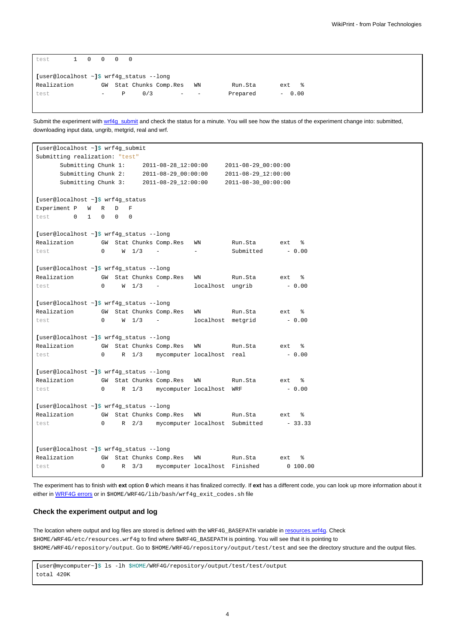| test                                           |  |  |                          | 1 0 0 0 0 |     |                      |    |          |           |
|------------------------------------------------|--|--|--------------------------|-----------|-----|----------------------|----|----------|-----------|
| [user@localhost $\sim$ ]\$ wrf4g_status --long |  |  |                          |           |     |                      |    |          |           |
| Realization                                    |  |  | GW                       |           |     | Stat Chunks Comp.Res | WN | Run.Sta  | ႜೢ<br>ext |
| test                                           |  |  | $\overline{\phantom{0}}$ | Р         | 0/3 | -                    | -  | Prepared | $-0.00$   |

Submit the experiment with [wrf4g\\_submit](https://meteo.unican.es/trac/wiki/WRF4GCommandLineTools#wrf4g_submit) and check the status for a minute. You will see how the status of the experiment change into: submitted, downloading input data, ungrib, metgrid, real and wrf.

```
[user@localhost ~]$ wrf4g_submit
Submitting realization: "test"
     Submitting Chunk 1: 2011-08-28_12:00:00 2011-08-29_00:00:00
     Submitting Chunk 2: 2011-08-29_00:00:00 2011-08-29_12:00:00
     Submitting Chunk 3: 2011-08-29_12:00:00 2011-08-30_00:00:00
[user@localhost ~]$ wrf4g_status
Experiment P W R D F
test 0 1 0 0 0
[user@localhost ~]$ wrf4g_status --long
Realization GW Stat Chunks Comp.Res WN Run.Sta ext %
test 0 W 1/3 - - Submitted - 0.00
[user@localhost ~]$ wrf4g_status --long
Realization GW Stat Chunks Comp.Res WN Run.Sta ext %
test 0 \tW 1/3 - localhost ungrib - 0.00
[user@localhost ~]$ wrf4g_status --long
Realization GW Stat Chunks Comp.Res WN Run.Sta ext %
test 0 W 1/3 - localhost metgrid - 0.00
[user@localhost ~]$ wrf4g_status --long
Realization GW Stat Chunks Comp.Res WN Run.Sta ext %
test 0 R 1/3 mycomputer localhost real - 0.00
[user@localhost ~]$ wrf4g_status --long
Realization GW Stat Chunks Comp.Res WN Run.Sta ext %
test 0 R 1/3 mycomputer localhost WRF - 0.00
[user@localhost ~]$ wrf4g_status --long
Realization GW Stat Chunks Comp.Res WN Run.Sta ext %
test 0 R 2/3 mycomputer localhost Submitted - 33.33
[user@localhost ~]$ wrf4g_status --long
Realization GW Stat Chunks Comp.Res WN Run.Sta ext \frac{1}{8}<br>test 0 R 3/3 mycomputer localhost Finished 0 100.00
test 0 R 3/3 mycomputer localhost Finished
```
The experiment has to finish with **ext** option **0** which means it has finalized correctly. If **ext** has a different code, you can look up more information about it either in [WRF4G errors](https://meteo.unican.es/trac/wiki/WRF4GErrors) or in \$HOME/WRF4G/lib/bash/wrf4g\_exit\_codes.sh file

#### **Check the experiment output and log**

The location where output and log files are stored is defined with the WRF4G\_BASEPATH variable in [resources.wrf4g.](https://meteo.unican.es/trac/wiki/WRF4Gresources_wrf4g) Check \$HOME/WRF4G/etc/resources.wrf4g to find where \$WRF4G\_BASEPATH is pointing. You will see that it is pointing to \$HOME/WRF4G/repository/output. Go to \$HOME/WRF4G/repository/output/test/test and see the directory structure and the output files.

**[**user@mycomputer~**]**\$ ls -lh \$HOME/WRF4G/repository/output/test/test/output total 420K